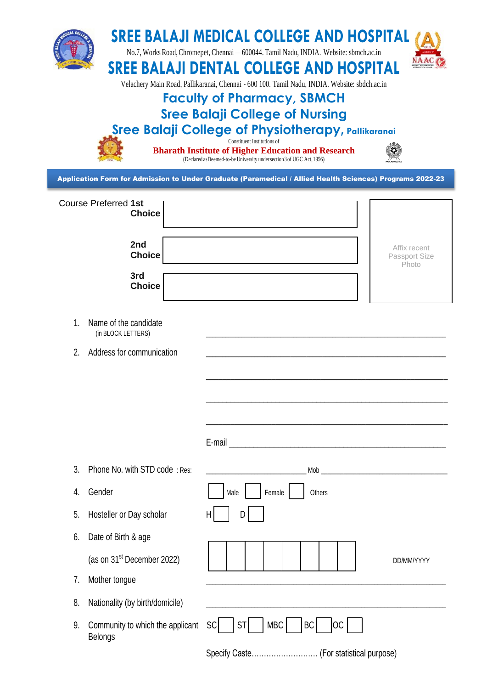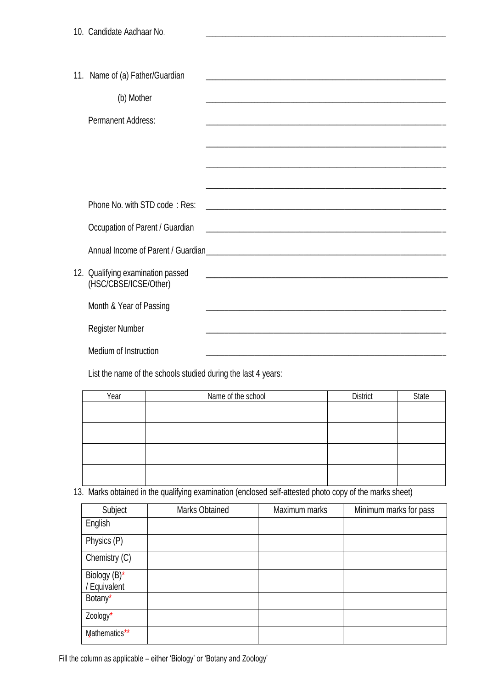| 11. Name of (a) Father/Guardian                            |                                                             |
|------------------------------------------------------------|-------------------------------------------------------------|
| (b) Mother                                                 |                                                             |
| <b>Permanent Address:</b>                                  |                                                             |
|                                                            |                                                             |
|                                                            |                                                             |
|                                                            |                                                             |
|                                                            |                                                             |
| Phone No. with STD code: Res:                              |                                                             |
| Occupation of Parent / Guardian                            |                                                             |
|                                                            |                                                             |
| 12. Qualifying examination passed<br>(HSC/CBSE/ICSE/Other) | <u> 1989 - Johann Stoff, amerikansk politiker (d. 1989)</u> |
| Month & Year of Passing                                    |                                                             |
| <b>Register Number</b>                                     |                                                             |
| Medium of Instruction                                      |                                                             |

List the name of the schools studied during the last 4 years:

| Year | Name of the school | <b>District</b> | <b>State</b> |
|------|--------------------|-----------------|--------------|
|      |                    |                 |              |
|      |                    |                 |              |
|      |                    |                 |              |
|      |                    |                 |              |
|      |                    |                 |              |
|      |                    |                 |              |
|      |                    |                 |              |
|      |                    |                 |              |

# 13. Marks obtained in the qualifying examination (enclosed self-attested photo copy of the marks sheet)

| Subject                      | <b>Marks Obtained</b> | Maximum marks | Minimum marks for pass |
|------------------------------|-----------------------|---------------|------------------------|
| English                      |                       |               |                        |
| Physics (P)                  |                       |               |                        |
| Chemistry (C)                |                       |               |                        |
| Biology (B)*<br>/ Equivalent |                       |               |                        |
| Botany*                      |                       |               |                        |
| Zoology*                     |                       |               |                        |
| Mathematics**                |                       |               |                        |

Fill the column as applicable – either 'Biology' or 'Botany and Zoology'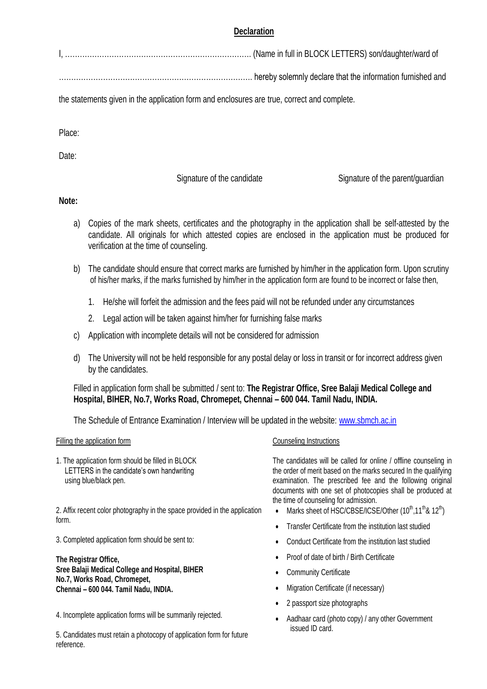## **Declaration**

|--|--|--|

……………………………………………………………………. hereby solemnly declare that the information furnished and

the statements given in the application form and enclosures are true, correct and complete.

Place:

Date:

Signature of the candidate Signature of the parent/guardian

### **Note:**

- a) Copies of the mark sheets, certificates and the photography in the application shall be self-attested by the candidate. All originals for which attested copies are enclosed in the application must be produced for verification at the time of counseling.
- b) The candidate should ensure that correct marks are furnished by him/her in the application form. Upon scrutiny of his/her marks, if the marks furnished by him/her in the application form are found to be incorrect or false then,
	- 1. He/she will forfeit the admission and the fees paid will not be refunded under any circumstances
	- 2. Legal action will be taken against him/her for furnishing false marks
- c) Application with incomplete details will not be considered for admission
- d) The University will not be held responsible for any postal delay or loss in transit or for incorrect address given by the candidates.

Filled in application form shall be submitted / sent to: **The Registrar Office, Sree Balaji Medical College and Hospital, BIHER, No.7, Works Road, Chromepet, Chennai – 600 044. Tamil Nadu, INDIA.**

The Schedule of Entrance Examination / Interview will be updated in the website: [www.sbmch.ac.in](http://www.sbmch.ac.in/)

#### Filling the application form **Counseling Instructions**

1. The application form should be filled in BLOCK LETTERS in the candidate's own handwriting using blue/black pen.

2. Affix recent color photography in the space provided in the application form.

3. Completed application form should be sent to:

**The Registrar Office, Sree Balaji Medical College and Hospital, BIHER No.7, Works Road, Chromepet, Chennai – 600 044. Tamil Nadu, INDIA.**

4. Incomplete application forms will be summarily rejected.

5. Candidates must retain a photocopy of application form for future reference.

The candidates will be called for online / offline counseling in the order of merit based on the marks secured In the qualifying examination. The prescribed fee and the following original documents with one set of photocopies shall be produced at the time of counseling for admission.

- Marks sheet of HSC/CBSE/ICSE/Other  $(10^{th}, 11^{th}$ &  $12^{th}$ )
- Transfer Certificate from the institution last studied
- Conduct Certificate from the institution last studied
- Proof of date of birth / Birth Certificate
- Community Certificate
- Migration Certificate (if necessary)
- 2 passport size photographs
- Aadhaar card (photo copy) / any other Government issued ID card.